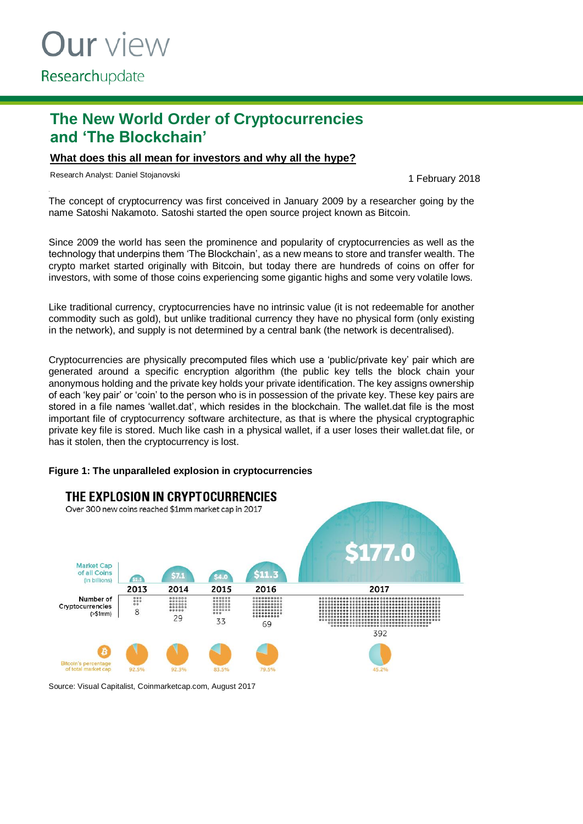# **The New World Order of Cryptocurrencies and 'The Blockchain'**

## **What does this all mean for investors and why all the hype?**

Research Analyst: Daniel Stojanovski and the search Analyst: Daniel Stojanovski

The concept of cryptocurrency was first conceived in January 2009 by a researcher going by the name Satoshi Nakamoto. Satoshi started the open source project known as Bitcoin.

Since 2009 the world has seen the prominence and popularity of cryptocurrencies as well as the technology that underpins them 'The Blockchain', as a new means to store and transfer wealth. The crypto market started originally with Bitcoin, but today there are hundreds of coins on offer for investors, with some of those coins experiencing some gigantic highs and some very volatile lows.

Like traditional currency, cryptocurrencies have no intrinsic value (it is not redeemable for another commodity such as gold), but unlike traditional currency they have no physical form (only existing in the network), and supply is not determined by a central bank (the network is decentralised).

Cryptocurrencies are physically precomputed files which use a 'public/private key' pair which are generated around a specific encryption algorithm (the public key tells the block chain your anonymous holding and the private key holds your private identification. The key assigns ownership of each 'key pair' or 'coin' to the person who is in possession of the private key. These key pairs are stored in a file names 'wallet.dat', which resides in the blockchain. The wallet.dat file is the most important file of cryptocurrency software architecture, as that is where the physical cryptographic private key file is stored. Much like cash in a physical wallet, if a user loses their wallet.dat file, or has it stolen, then the cryptocurrency is lost.

#### **Figure 1: The unparalleled explosion in cryptocurrencies**



Source: Visual Capitalist, Coinmarketcap.com, August 2017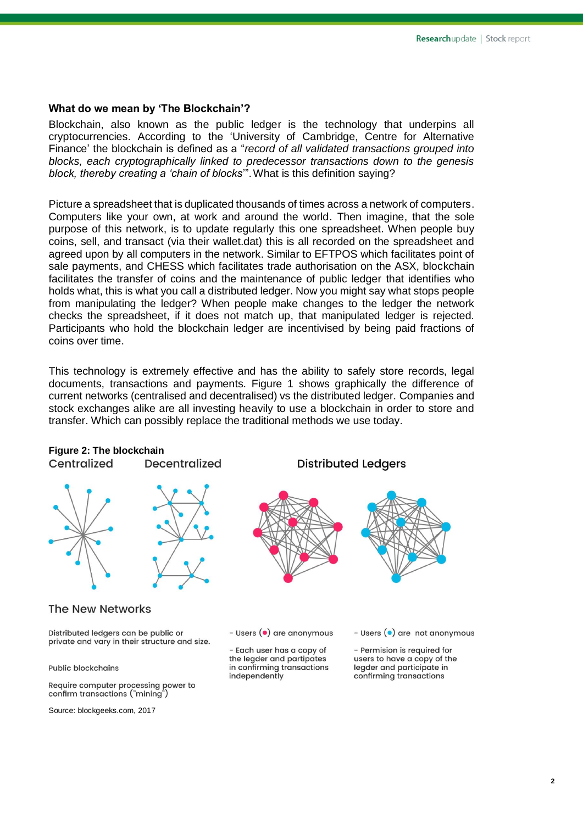#### **What do we mean by 'The Blockchain'?**

Blockchain, also known as the public ledger is the technology that underpins all cryptocurrencies. According to the 'University of Cambridge, Centre for Alternative Finance' the blockchain is defined as a "*record of all validated transactions grouped into blocks, each cryptographically linked to predecessor transactions down to the genesis block, thereby creating a 'chain of blocks*'".What is this definition saying?

Picture a spreadsheet that is duplicated thousands of times across a network of computers. Computers like your own, at work and around the world. Then imagine, that the sole purpose of this network, is to update regularly this one spreadsheet. When people buy coins, sell, and transact (via their wallet.dat) this is all recorded on the spreadsheet and agreed upon by all computers in the network. Similar to EFTPOS which facilitates point of sale payments, and CHESS which facilitates trade authorisation on the ASX, blockchain facilitates the transfer of coins and the maintenance of public ledger that identifies who holds what, this is what you call a distributed ledger. Now you might say what stops people from manipulating the ledger? When people make changes to the ledger the network checks the spreadsheet, if it does not match up, that manipulated ledger is rejected. Participants who hold the blockchain ledger are incentivised by being paid fractions of coins over time.

This technology is extremely effective and has the ability to safely store records, legal documents, transactions and payments. Figure 1 shows graphically the difference of current networks (centralised and decentralised) vs the distributed ledger. Companies and stock exchanges alike are all investing heavily to use a blockchain in order to store and transfer. Which can possibly replace the traditional methods we use today.

## **Figure 2: The blockchain**

Centralized Decentralized



#### **The New Networks**

Distributed ledgers can be public or private and vary in their structure and size.

**Public blockchains** 

Require computer processing power to confirm transactions ("mining")

Source: blockgeeks.com, 2017

**Distributed Ledgers** 



- Users (•) are anonymous

- Each user has a copy of the legder and partipates in confirming transactions independently

- Users  $\left( \bullet \right)$  are not anonymous

- Permision is required for users to have a copy of the legder and participate in confirming transactions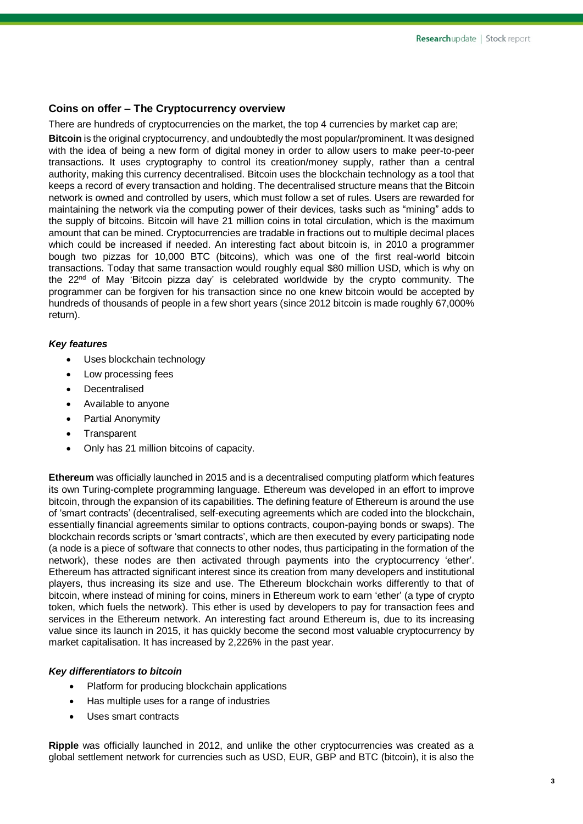### **Coins on offer – The Cryptocurrency overview**

There are hundreds of cryptocurrencies on the market, the top 4 currencies by market cap are;

**Bitcoin** is the original cryptocurrency, and undoubtedly the most popular/prominent. It was designed with the idea of being a new form of digital money in order to allow users to make peer-to-peer transactions. It uses cryptography to control its creation/money supply, rather than a central authority, making this currency decentralised. Bitcoin uses the blockchain technology as a tool that keeps a record of every transaction and holding. The decentralised structure means that the Bitcoin network is owned and controlled by users, which must follow a set of rules. Users are rewarded for maintaining the network via the computing power of their devices, tasks such as "mining" adds to the supply of bitcoins. Bitcoin will have 21 million coins in total circulation, which is the maximum amount that can be mined. Cryptocurrencies are tradable in fractions out to multiple decimal places which could be increased if needed. An interesting fact about bitcoin is, in 2010 a programmer bough two pizzas for 10,000 BTC (bitcoins), which was one of the first real-world bitcoin transactions. Today that same transaction would roughly equal \$80 million USD, which is why on the 22<sup>nd</sup> of May 'Bitcoin pizza day' is celebrated worldwide by the crypto community. The programmer can be forgiven for his transaction since no one knew bitcoin would be accepted by hundreds of thousands of people in a few short years (since 2012 bitcoin is made roughly 67,000% return).

#### *Key features*

- Uses blockchain technology
- Low processing fees
- **Decentralised**
- Available to anyone
- Partial Anonymity
- **Transparent**
- Only has 21 million bitcoins of capacity.

**Ethereum** was officially launched in 2015 and is a decentralised computing platform which features its own Turing-complete programming language. Ethereum was developed in an effort to improve bitcoin, through the expansion of its capabilities. The defining feature of Ethereum is around the use of 'smart contracts' (decentralised, self-executing agreements which are coded into the blockchain, essentially financial agreements similar to options contracts, coupon-paying bonds or swaps). The blockchain records scripts or 'smart contracts', which are then executed by every participating node (a node is a piece of software that connects to other nodes, thus participating in the formation of the network), these nodes are then activated through payments into the cryptocurrency 'ether'. Ethereum has attracted significant interest since its creation from many developers and institutional players, thus increasing its size and use. The Ethereum blockchain works differently to that of bitcoin, where instead of mining for coins, miners in Ethereum work to earn 'ether' (a type of crypto token, which fuels the network). This ether is used by developers to pay for transaction fees and services in the Ethereum network. An interesting fact around Ethereum is, due to its increasing value since its launch in 2015, it has quickly become the second most valuable cryptocurrency by market capitalisation. It has increased by 2,226% in the past year.

#### *Key differentiators to bitcoin*

- Platform for producing blockchain applications
- Has multiple uses for a range of industries
- Uses smart contracts

**Ripple** was officially launched in 2012, and unlike the other cryptocurrencies was created as a global settlement network for currencies such as USD, EUR, GBP and BTC (bitcoin), it is also the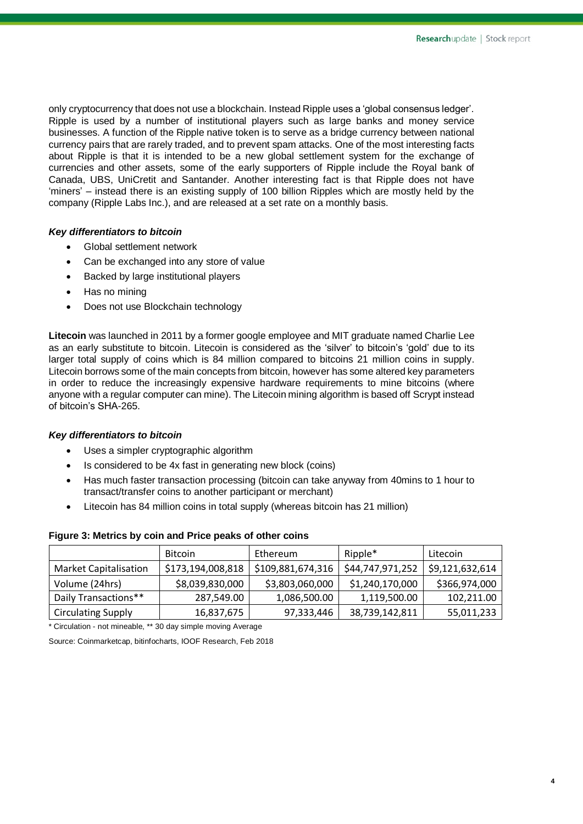only cryptocurrency that does not use a blockchain. Instead Ripple uses a 'global consensus ledger'. Ripple is used by a number of institutional players such as large banks and money service businesses. A function of the Ripple native token is to serve as a bridge currency between national currency pairs that are rarely traded, and to prevent spam attacks. One of the most interesting facts about Ripple is that it is intended to be a new global settlement system for the exchange of currencies and other assets, some of the early supporters of Ripple include the Royal bank of Canada, UBS, UniCretit and Santander. Another interesting fact is that Ripple does not have 'miners' – instead there is an existing supply of 100 billion Ripples which are mostly held by the company (Ripple Labs Inc.), and are released at a set rate on a monthly basis.

#### *Key differentiators to bitcoin*

- Global settlement network
- Can be exchanged into any store of value
- Backed by large institutional players
- Has no mining
- Does not use Blockchain technology

**Litecoin** was launched in 2011 by a former google employee and MIT graduate named Charlie Lee as an early substitute to bitcoin. Litecoin is considered as the 'silver' to bitcoin's 'gold' due to its larger total supply of coins which is 84 million compared to bitcoins 21 million coins in supply. Litecoin borrows some of the main concepts from bitcoin, however has some altered key parameters in order to reduce the increasingly expensive hardware requirements to mine bitcoins (where anyone with a regular computer can mine). The Litecoin mining algorithm is based off Scrypt instead of bitcoin's SHA-265.

#### *Key differentiators to bitcoin*

- Uses a simpler cryptographic algorithm
- Is considered to be 4x fast in generating new block (coins)
- Has much faster transaction processing (bitcoin can take anyway from 40mins to 1 hour to transact/transfer coins to another participant or merchant)
- Litecoin has 84 million coins in total supply (whereas bitcoin has 21 million)

|                              | <b>Bitcoin</b>    | Ethereum          | Ripple*          | Litecoin        |
|------------------------------|-------------------|-------------------|------------------|-----------------|
| <b>Market Capitalisation</b> | \$173,194,008,818 | \$109,881,674,316 | \$44,747,971,252 | \$9,121,632,614 |
| Volume (24hrs)               | \$8,039,830,000   | \$3,803,060,000   | \$1,240,170,000  | \$366,974,000   |
| Daily Transactions**         | 287,549.00        | 1,086,500.00      | 1,119,500.00     | 102,211.00      |
| <b>Circulating Supply</b>    | 16,837,675        | 97,333,446        | 38,739,142,811   | 55,011,233      |

#### **Figure 3: Metrics by coin and Price peaks of other coins**

\* Circulation - not mineable, \*\* 30 day simple moving Average

Source: Coinmarketcap, bitinfocharts, IOOF Research, Feb 2018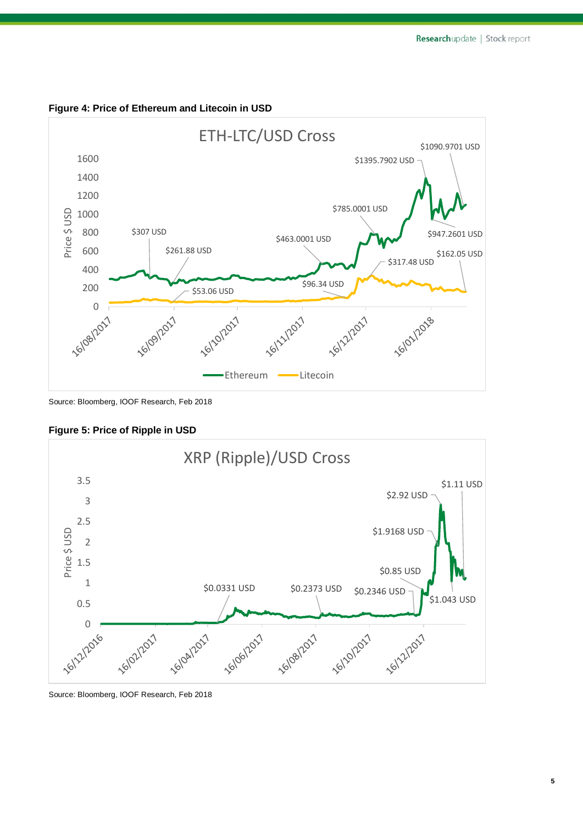

**Figure 4: Price of Ethereum and Litecoin in USD**

Source: Bloomberg, IOOF Research, Feb 2018

**Figure 5: Price of Ripple in USD**



Source: Bloomberg, IOOF Research, Feb 2018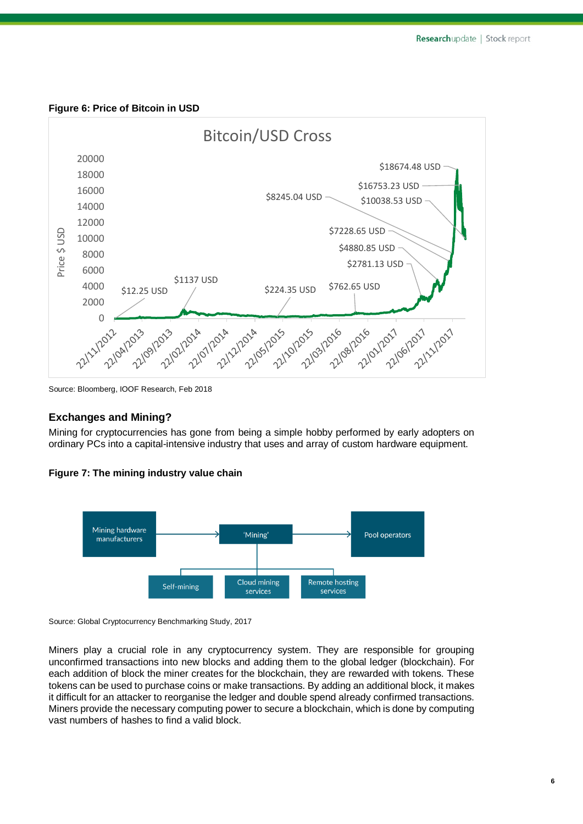



Source: Bloomberg, IOOF Research, Feb 2018

#### **Exchanges and Mining?**

Mining for cryptocurrencies has gone from being a simple hobby performed by early adopters on ordinary PCs into a capital-intensive industry that uses and array of custom hardware equipment.





Source: Global Cryptocurrency Benchmarking Study, 2017

Miners play a crucial role in any cryptocurrency system. They are responsible for grouping unconfirmed transactions into new blocks and adding them to the global ledger (blockchain). For each addition of block the miner creates for the blockchain, they are rewarded with tokens. These tokens can be used to purchase coins or make transactions. By adding an additional block, it makes it difficult for an attacker to reorganise the ledger and double spend already confirmed transactions. Miners provide the necessary computing power to secure a blockchain, which is done by computing vast numbers of hashes to find a valid block.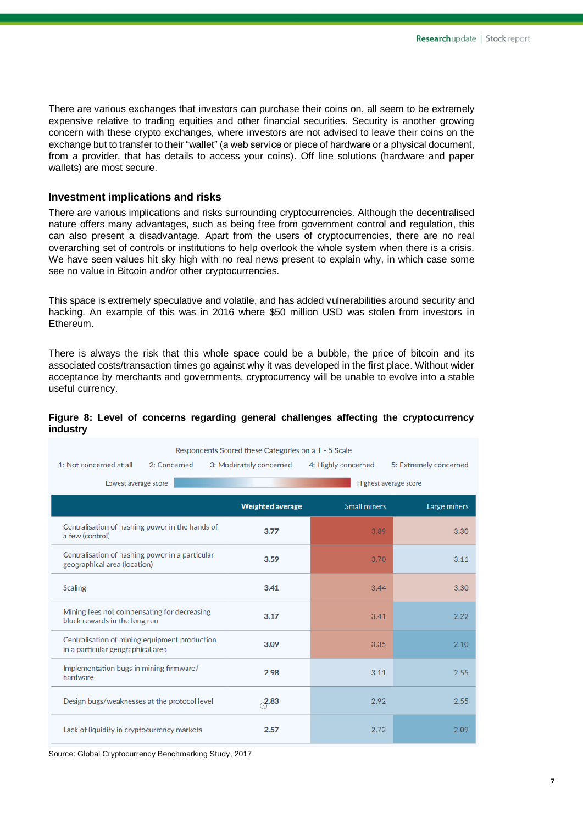There are various exchanges that investors can purchase their coins on, all seem to be extremely expensive relative to trading equities and other financial securities. Security is another growing concern with these crypto exchanges, where investors are not advised to leave their coins on the exchange but to transfer to their "wallet" (a web service or piece of hardware or a physical document, from a provider, that has details to access your coins). Off line solutions (hardware and paper wallets) are most secure.

#### **Investment implications and risks**

There are various implications and risks surrounding cryptocurrencies. Although the decentralised nature offers many advantages, such as being free from government control and regulation, this can also present a disadvantage. Apart from the users of cryptocurrencies, there are no real overarching set of controls or institutions to help overlook the whole system when there is a crisis. We have seen values hit sky high with no real news present to explain why, in which case some see no value in Bitcoin and/or other cryptocurrencies.

This space is extremely speculative and volatile, and has added vulnerabilities around security and hacking. An example of this was in 2016 where \$50 million USD was stolen from investors in Ethereum.

There is always the risk that this whole space could be a bubble, the price of bitcoin and its associated costs/transaction times go against why it was developed in the first place. Without wider acceptance by merchants and governments, cryptocurrency will be unable to evolve into a stable useful currency.

#### **Figure 8: Level of concerns regarding general challenges affecting the cryptocurrency industry**

| Respondents Scored these Categories on a 1 - 5 Scale                               |                         |                     |                        |  |  |
|------------------------------------------------------------------------------------|-------------------------|---------------------|------------------------|--|--|
| 1: Not concerned at all<br>2: Concerned                                            | 3: Moderately concerned | 4: Highly concerned | 5: Extremely concerned |  |  |
| Highest average score<br>Lowest average score                                      |                         |                     |                        |  |  |
|                                                                                    | <b>Weighted average</b> | <b>Small miners</b> | Large miners           |  |  |
| Centralisation of hashing power in the hands of<br>a few (control)                 | 3.77                    | 3.89                | 3.30                   |  |  |
| Centralisation of hashing power in a particular<br>geographical area (location)    | 3.59                    | 3.70                | 3.11                   |  |  |
| <b>Scaling</b>                                                                     | 3.41                    | 3.44                | 3.30                   |  |  |
| Mining fees not compensating for decreasing<br>block rewards in the long run       | 3.17                    | 3.41                | 2.22                   |  |  |
| Centralisation of mining equipment production<br>in a particular geographical area | 3.09                    | 3.35                | 2.10                   |  |  |
| Implementation bugs in mining firmware/<br>hardware                                | 2.98                    | 3.11                | 2.55                   |  |  |
| Design bugs/weaknesses at the protocol level                                       | $-2.83$                 | 2.92                | 2.55                   |  |  |
| Lack of liquidity in cryptocurrency markets                                        | 2.57                    | 2.72                | 2.09                   |  |  |

Source: Global Cryptocurrency Benchmarking Study, 2017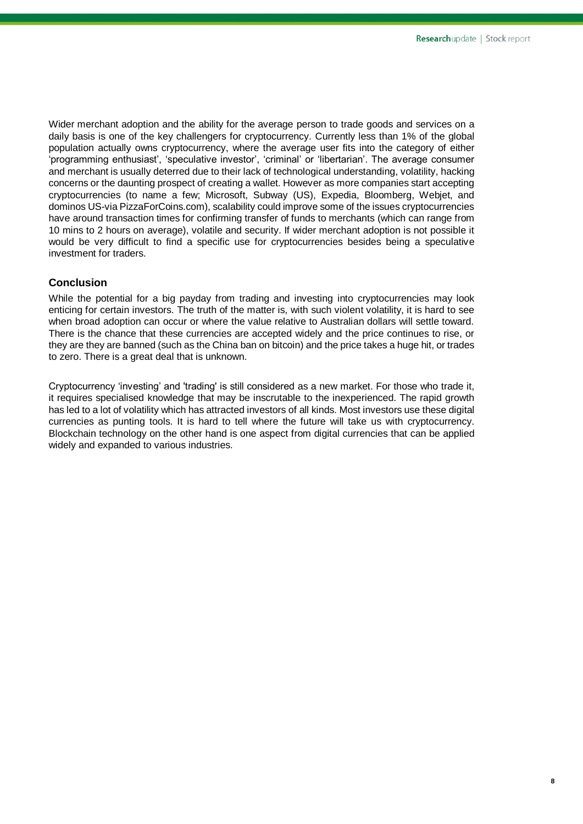Wider merchant adoption and the ability for the average person to trade goods and services on a daily basis is one of the key challengers for cryptocurrency. Currently less than 1% of the global population actually owns cryptocurrency, where the average user fits into the category of either 'programming enthusiast', 'speculative investor', 'criminal' or 'libertarian'. The average consumer and merchant is usually deterred due to their lack of technological understanding, volatility, hacking concerns or the daunting prospect of creating a wallet. However as more companies start accepting cryptocurrencies (to name a few; Microsoft, Subway (US), Expedia, Bloomberg, Webjet, and dominos US-via PizzaForCoins.com), scalability could improve some of the issues cryptocurrencies have around transaction times for confirming transfer of funds to merchants (which can range from 10 mins to 2 hours on average), volatile and security. If wider merchant adoption is not possible it would be very difficult to find a specific use for cryptocurrencies besides being a speculative investment for traders.

#### **Conclusion**

While the potential for a big payday from trading and investing into cryptocurrencies may look enticing for certain investors. The truth of the matter is, with such violent volatility, it is hard to see when broad adoption can occur or where the value relative to Australian dollars will settle toward. There is the chance that these currencies are accepted widely and the price continues to rise, or they are they are banned (such as the China ban on bitcoin) and the price takes a huge hit, or trades to zero. There is a great deal that is unknown.

Cryptocurrency 'investing' and 'trading' is still considered as a new market. For those who trade it, it requires specialised knowledge that may be inscrutable to the inexperienced. The rapid growth has led to a lot of volatility which has attracted investors of all kinds. Most investors use these digital currencies as punting tools. It is hard to tell where the future will take us with cryptocurrency. Blockchain technology on the other hand is one aspect from digital currencies that can be applied widely and expanded to various industries.